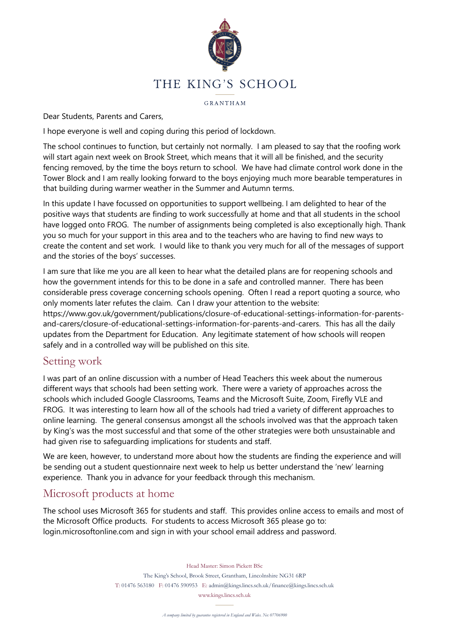

GRANTHAM

Dear Students, Parents and Carers,

I hope everyone is well and coping during this period of lockdown.

The school continues to function, but certainly not normally. I am pleased to say that the roofing work will start again next week on Brook Street, which means that it will all be finished, and the security fencing removed, by the time the boys return to school. We have had climate control work done in the Tower Block and I am really looking forward to the boys enjoying much more bearable temperatures in that building during warmer weather in the Summer and Autumn terms.

In this update I have focussed on opportunities to support wellbeing. I am delighted to hear of the positive ways that students are finding to work successfully at home and that all students in the school have logged onto FROG. The number of assignments being completed is also exceptionally high. Thank you so much for your support in this area and to the teachers who are having to find new ways to create the content and set work. I would like to thank you very much for all of the messages of support and the stories of the boys' successes.

I am sure that like me you are all keen to hear what the detailed plans are for reopening schools and how the government intends for this to be done in a safe and controlled manner. There has been considerable press coverage concerning schools opening. Often I read a report quoting a source, who only moments later refutes the claim. Can I draw your attention to the website: https://www.gov.uk/government/publications/closure-of-educational-settings-information-for-parentsand-carers/closure-of-educational-settings-information-for-parents-and-carers. This has all the daily updates from the Department for Education. Any legitimate statement of how schools will reopen safely and in a controlled way will be published on this site.

## Setting work

I was part of an online discussion with a number of Head Teachers this week about the numerous different ways that schools had been setting work. There were a variety of approaches across the schools which included Google Classrooms, Teams and the Microsoft Suite, Zoom, Firefly VLE and FROG. It was interesting to learn how all of the schools had tried a variety of different approaches to online learning. The general consensus amongst all the schools involved was that the approach taken by King's was the most successful and that some of the other strategies were both unsustainable and had given rise to safeguarding implications for students and staff.

We are keen, however, to understand more about how the students are finding the experience and will be sending out a student questionnaire next week to help us better understand the 'new' learning experience. Thank you in advance for your feedback through this mechanism.

# Microsoft products at home

The school uses Microsoft 365 for students and staff. This provides online access to emails and most of the Microsoft Office products. For students to access Microsoft 365 please go to: login.microsoftonline.com and sign in with your school email address and password.

Head Master: Simon Pickett BSc

The King's School, Brook Street, Grantham, Lincolnshire NG31 6RP T: 01476 563180 F: 01476 590953 E: admin@kings.lincs.sch.uk/finance@kings.lincs.sch.uk www.kings.lincs.sch.uk

*A company limited by guarantee registered in England and Wales. No: 07706900*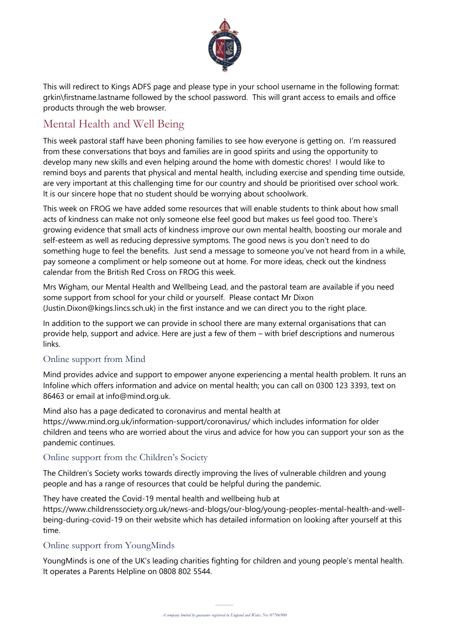

This will redirect to Kings ADFS page and please type in your school username in the following format: grkin\firstname.lastname followed by the school password. This will grant access to emails and office products through the web browser.

# Mental Health and Well Being

This week pastoral staff have been phoning families to see how everyone is getting on. I'm reassured from these conversations that boys and families are in good spirits and using the opportunity to develop many new skills and even helping around the home with domestic chores! I would like to remind boys and parents that physical and mental health, including exercise and spending time outside, are very important at this challenging time for our country and should be prioritised over school work. It is our sincere hope that no student should be worrying about schoolwork.

This week on FROG we have added some resources that will enable students to think about how small acts of kindness can make not only someone else feel good but makes us feel good too. There's growing evidence that small acts of kindness improve our own mental health, boosting our morale and self-esteem as well as reducing depressive symptoms. The good news is you don't need to do something huge to feel the benefits. Just send a message to someone you've not heard from in a while, pay someone a compliment or help someone out at home. For more ideas, check out the kindness calendar from the British Red Cross on FROG this week.

Mrs Wigham, our Mental Health and Wellbeing Lead, and the pastoral team are available if you need some support from school for your child or yourself. Please contact Mr Dixon (Justin.Dixon@kings.lincs.sch.uk) in the first instance and we can direct you to the right place.

In addition to the support we can provide in school there are many external organisations that can provide help, support and advice. Here are just a few of them – with brief descriptions and numerous links.

#### Online support from Mind

Mind provides advice and support to empower anyone experiencing a mental health problem. It runs an Infoline which offers information and advice on mental health; you can call on 0300 123 3393, text on 86463 or email at info@mind.org.uk.

Mind also has a page dedicated to coronavirus and mental health at https://www.mind.org.uk/information-support/coronavirus/ which includes information for older children and teens who are worried about the virus and advice for how you can support your son as the pandemic continues.

#### Online support from the Children's Society

The Children's Society works towards directly improving the lives of vulnerable children and young people and has a range of resources that could be helpful during the pandemic.

They have created the Covid-19 mental health and wellbeing hub at https://www.childrenssociety.org.uk/news-and-blogs/our-blog/young-peoples-mental-health-and-wellbeing-during-covid-19 on their website which has detailed information on looking after yourself at this time.

## Online support from YoungMinds

YoungMinds is one of the UK's leading charities fighting for children and young people's mental health. It operates a Parents Helpline on 0808 802 5544.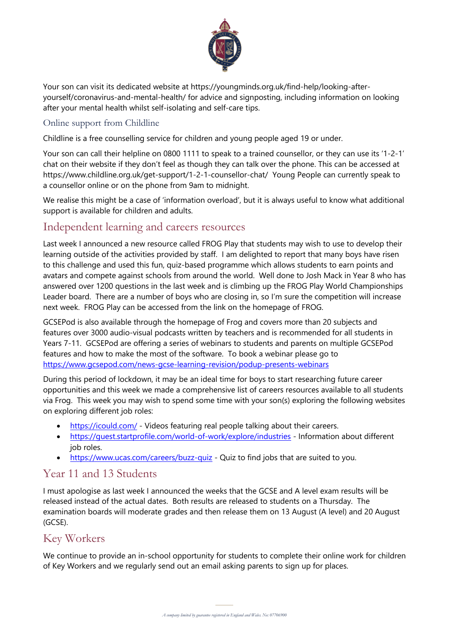

Your son can visit its dedicated website at https://youngminds.org.uk/find-help/looking-afteryourself/coronavirus-and-mental-health/ for advice and signposting, including information on looking after your mental health whilst self-isolating and self-care tips.

#### Online support from Childline

Childline is a free counselling service for children and young people aged 19 or under.

Your son can call their helpline on 0800 1111 to speak to a trained counsellor, or they can use its '1-2-1' chat on their website if they don't feel as though they can talk over the phone. This can be accessed at https://www.childline.org.uk/get-support/1-2-1-counsellor-chat/ Young People can currently speak to a counsellor online or on the phone from 9am to midnight.

We realise this might be a case of 'information overload', but it is always useful to know what additional support is available for children and adults.

## Independent learning and careers resources

Last week I announced a new resource called FROG Play that students may wish to use to develop their learning outside of the activities provided by staff. I am delighted to report that many boys have risen to this challenge and used this fun, quiz-based programme which allows students to earn points and avatars and compete against schools from around the world. Well done to Josh Mack in Year 8 who has answered over 1200 questions in the last week and is climbing up the FROG Play World Championships Leader board. There are a number of boys who are closing in, so I'm sure the competition will increase next week. FROG Play can be accessed from the link on the homepage of FROG.

GCSEPod is also available through the homepage of Frog and covers more than 20 subjects and features over 3000 audio-visual podcasts written by teachers and is recommended for all students in Years 7-11. GCSEPod are offering a series of webinars to students and parents on multiple GCSEPod features and how to make the most of the software. To book a webinar please go to https://www.gcsepod.com/news-gcse-learning-revision/podup-presents-webinars

During this period of lockdown, it may be an ideal time for boys to start researching future career opportunities and this week we made a comprehensive list of careers resources available to all students via Frog. This week you may wish to spend some time with your son(s) exploring the following websites on exploring different job roles:

- https://icould.com/ Videos featuring real people talking about their careers.
- https://quest.startprofile.com/world-of-work/explore/industries Information about different job roles.
- https://www.ucas.com/careers/buzz-quiz Quiz to find jobs that are suited to you.

## Year 11 and 13 Students

I must apologise as last week I announced the weeks that the GCSE and A level exam results will be released instead of the actual dates. Both results are released to students on a Thursday. The examination boards will moderate grades and then release them on 13 August (A level) and 20 August (GCSE).

# Key Workers

of Key Workers and we regularly send out an email asking parents to sign up for places. We continue to provide an in-school opportunity for students to complete their online work for children